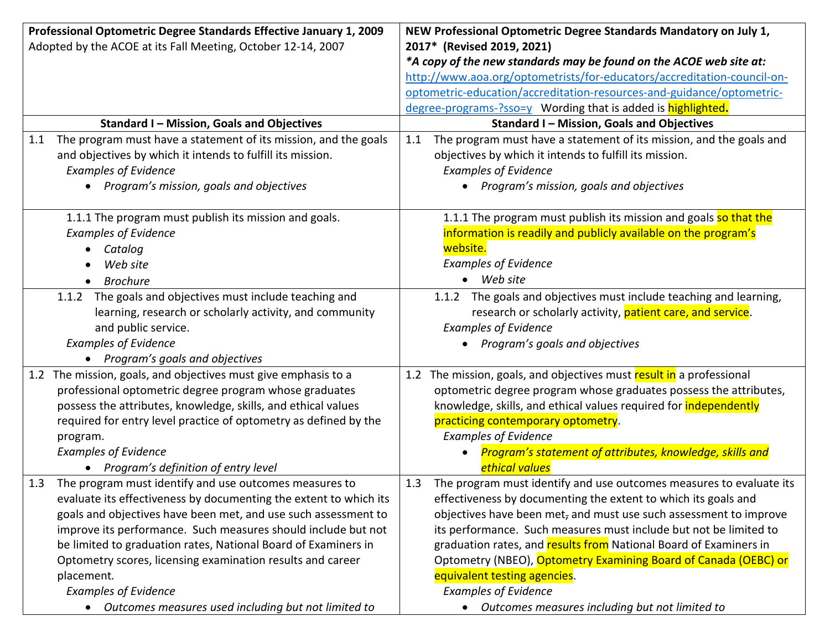| Professional Optometric Degree Standards Effective January 1, 2009<br>Adopted by the ACOE at its Fall Meeting, October 12-14, 2007 |                                                                                                                     | NEW Professional Optometric Degree Standards Mandatory on July 1,<br>2017* (Revised 2019, 2021)<br>*A copy of the new standards may be found on the ACOE web site at:<br>http://www.aoa.org/optometrists/for-educators/accreditation-council-on- |                                                                                           |  |
|------------------------------------------------------------------------------------------------------------------------------------|---------------------------------------------------------------------------------------------------------------------|--------------------------------------------------------------------------------------------------------------------------------------------------------------------------------------------------------------------------------------------------|-------------------------------------------------------------------------------------------|--|
|                                                                                                                                    |                                                                                                                     |                                                                                                                                                                                                                                                  | optometric-education/accreditation-resources-and-guidance/optometric-                     |  |
|                                                                                                                                    |                                                                                                                     |                                                                                                                                                                                                                                                  | degree-programs-?sso=y Wording that is added is highlighted.                              |  |
|                                                                                                                                    | Standard I - Mission, Goals and Objectives                                                                          |                                                                                                                                                                                                                                                  | <b>Standard I - Mission, Goals and Objectives</b>                                         |  |
| 1.1                                                                                                                                | The program must have a statement of its mission, and the goals                                                     | 1.1                                                                                                                                                                                                                                              | The program must have a statement of its mission, and the goals and                       |  |
|                                                                                                                                    | and objectives by which it intends to fulfill its mission.                                                          |                                                                                                                                                                                                                                                  | objectives by which it intends to fulfill its mission.                                    |  |
|                                                                                                                                    | <b>Examples of Evidence</b>                                                                                         |                                                                                                                                                                                                                                                  | <b>Examples of Evidence</b>                                                               |  |
|                                                                                                                                    | Program's mission, goals and objectives                                                                             |                                                                                                                                                                                                                                                  | Program's mission, goals and objectives                                                   |  |
|                                                                                                                                    | 1.1.1 The program must publish its mission and goals.                                                               |                                                                                                                                                                                                                                                  | 1.1.1 The program must publish its mission and goals so that the                          |  |
|                                                                                                                                    | <b>Examples of Evidence</b>                                                                                         |                                                                                                                                                                                                                                                  | information is readily and publicly available on the program's                            |  |
|                                                                                                                                    | Catalog                                                                                                             |                                                                                                                                                                                                                                                  | website.                                                                                  |  |
|                                                                                                                                    | Web site                                                                                                            |                                                                                                                                                                                                                                                  | <b>Examples of Evidence</b>                                                               |  |
|                                                                                                                                    | <b>Brochure</b>                                                                                                     |                                                                                                                                                                                                                                                  | $\bullet$ Web site                                                                        |  |
|                                                                                                                                    | 1.1.2 The goals and objectives must include teaching and<br>learning, research or scholarly activity, and community |                                                                                                                                                                                                                                                  | 1.1.2 The goals and objectives must include teaching and learning,                        |  |
|                                                                                                                                    | and public service.                                                                                                 |                                                                                                                                                                                                                                                  | research or scholarly activity, patient care, and service.<br><b>Examples of Evidence</b> |  |
|                                                                                                                                    | <b>Examples of Evidence</b>                                                                                         |                                                                                                                                                                                                                                                  | Program's goals and objectives                                                            |  |
|                                                                                                                                    | Program's goals and objectives                                                                                      |                                                                                                                                                                                                                                                  |                                                                                           |  |
| 1.2                                                                                                                                | The mission, goals, and objectives must give emphasis to a                                                          | 1.2                                                                                                                                                                                                                                              | The mission, goals, and objectives must result in a professional                          |  |
|                                                                                                                                    | professional optometric degree program whose graduates                                                              |                                                                                                                                                                                                                                                  | optometric degree program whose graduates possess the attributes,                         |  |
|                                                                                                                                    | possess the attributes, knowledge, skills, and ethical values                                                       |                                                                                                                                                                                                                                                  | knowledge, skills, and ethical values required for <i>independently</i>                   |  |
|                                                                                                                                    | required for entry level practice of optometry as defined by the                                                    |                                                                                                                                                                                                                                                  | practicing contemporary optometry.                                                        |  |
|                                                                                                                                    | program.                                                                                                            |                                                                                                                                                                                                                                                  | <b>Examples of Evidence</b>                                                               |  |
|                                                                                                                                    | <b>Examples of Evidence</b>                                                                                         |                                                                                                                                                                                                                                                  | Program's statement of attributes, knowledge, skills and                                  |  |
|                                                                                                                                    | Program's definition of entry level                                                                                 |                                                                                                                                                                                                                                                  | ethical values                                                                            |  |
| 1.3                                                                                                                                | The program must identify and use outcomes measures to                                                              | 1.3                                                                                                                                                                                                                                              | The program must identify and use outcomes measures to evaluate its                       |  |
|                                                                                                                                    | evaluate its effectiveness by documenting the extent to which its                                                   |                                                                                                                                                                                                                                                  | effectiveness by documenting the extent to which its goals and                            |  |
|                                                                                                                                    | goals and objectives have been met, and use such assessment to                                                      |                                                                                                                                                                                                                                                  | objectives have been met, and must use such assessment to improve                         |  |
|                                                                                                                                    | improve its performance. Such measures should include but not                                                       |                                                                                                                                                                                                                                                  | its performance. Such measures must include but not be limited to                         |  |
|                                                                                                                                    | be limited to graduation rates, National Board of Examiners in                                                      |                                                                                                                                                                                                                                                  | graduation rates, and results from National Board of Examiners in                         |  |
|                                                                                                                                    | Optometry scores, licensing examination results and career                                                          |                                                                                                                                                                                                                                                  | Optometry (NBEO), Optometry Examining Board of Canada (OEBC) or                           |  |
|                                                                                                                                    | placement.                                                                                                          |                                                                                                                                                                                                                                                  | equivalent testing agencies.                                                              |  |
|                                                                                                                                    | <b>Examples of Evidence</b>                                                                                         |                                                                                                                                                                                                                                                  | <b>Examples of Evidence</b>                                                               |  |
|                                                                                                                                    | Outcomes measures used including but not limited to                                                                 |                                                                                                                                                                                                                                                  | Outcomes measures including but not limited to                                            |  |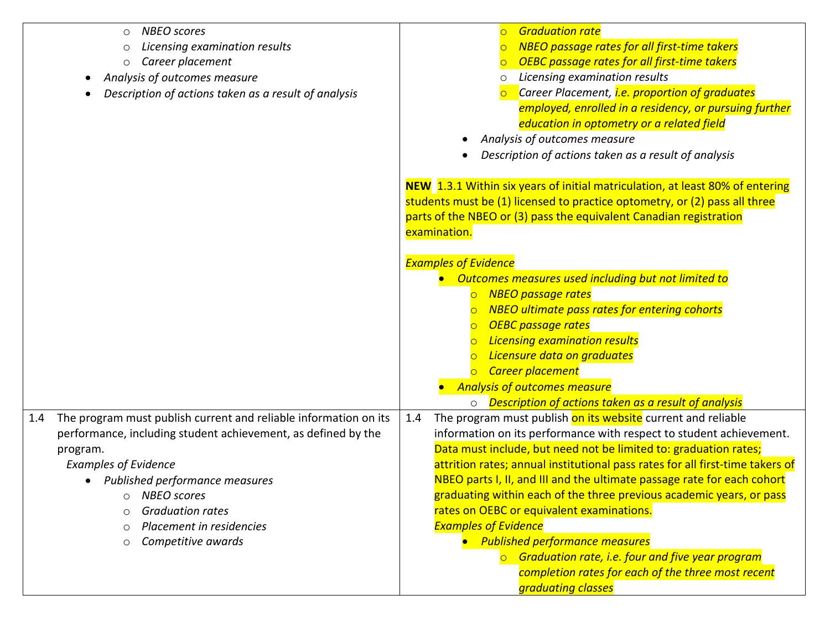| <b>NBEO</b> scores<br>$\circ$<br>Licensing examination results<br>$\circ$<br>Career placement<br>$\circ$<br>Analysis of outcomes measure<br>Description of actions taken as a result of analysis                                                                                                                                                          | <b>Graduation rate</b><br><b>NBEO</b> passage rates for all first-time takers<br>OEBC passage rates for all first-time takers<br>Licensing examination results<br>$\circ$<br>Career Placement, <i>i.e. proportion of graduates</i><br>employed, enrolled in a residency, or pursuing further<br>education in optometry or a related field<br>Analysis of outcomes measure<br>Description of actions taken as a result of analysis                                                                                                                                                                                                                                                                          |
|-----------------------------------------------------------------------------------------------------------------------------------------------------------------------------------------------------------------------------------------------------------------------------------------------------------------------------------------------------------|------------------------------------------------------------------------------------------------------------------------------------------------------------------------------------------------------------------------------------------------------------------------------------------------------------------------------------------------------------------------------------------------------------------------------------------------------------------------------------------------------------------------------------------------------------------------------------------------------------------------------------------------------------------------------------------------------------|
|                                                                                                                                                                                                                                                                                                                                                           | NEW 1.3.1 Within six years of initial matriculation, at least 80% of entering<br>students must be (1) licensed to practice optometry, or (2) pass all three<br>parts of the NBEO or (3) pass the equivalent Canadian registration<br>examination.                                                                                                                                                                                                                                                                                                                                                                                                                                                          |
|                                                                                                                                                                                                                                                                                                                                                           | <b>Examples of Evidence</b><br>Outcomes measures used including but not limited to<br>o NBEO passage rates<br><b>NBEO</b> ultimate pass rates for entering cohorts<br><b>OEBC</b> passage rates<br><b>Licensing examination results</b><br>Licensure data on graduates<br>Career placement<br><b>Analysis of outcomes measure</b><br>○ <b>Description of actions taken as a result of analysis</b>                                                                                                                                                                                                                                                                                                         |
| The program must publish current and reliable information on its<br>1.4<br>performance, including student achievement, as defined by the<br>program.<br><b>Examples of Evidence</b><br>Published performance measures<br><b>NBEO</b> scores<br>$\circ$<br><b>Graduation rates</b><br>Placement in residencies<br>$\circ$<br>Competitive awards<br>$\circ$ | The program must publish on its website current and reliable<br>1.4<br>information on its performance with respect to student achievement.<br>Data must include, but need not be limited to: graduation rates;<br>attrition rates; annual institutional pass rates for all first-time takers of<br>NBEO parts I, II, and III and the ultimate passage rate for each cohort<br>graduating within each of the three previous academic years, or pass<br>rates on OEBC or equivalent examinations.<br><b>Examples of Evidence</b><br>• Published performance measures<br>$\circ$ Graduation rate, i.e. four and five year program<br>completion rates for each of the three most recent<br>graduating classes |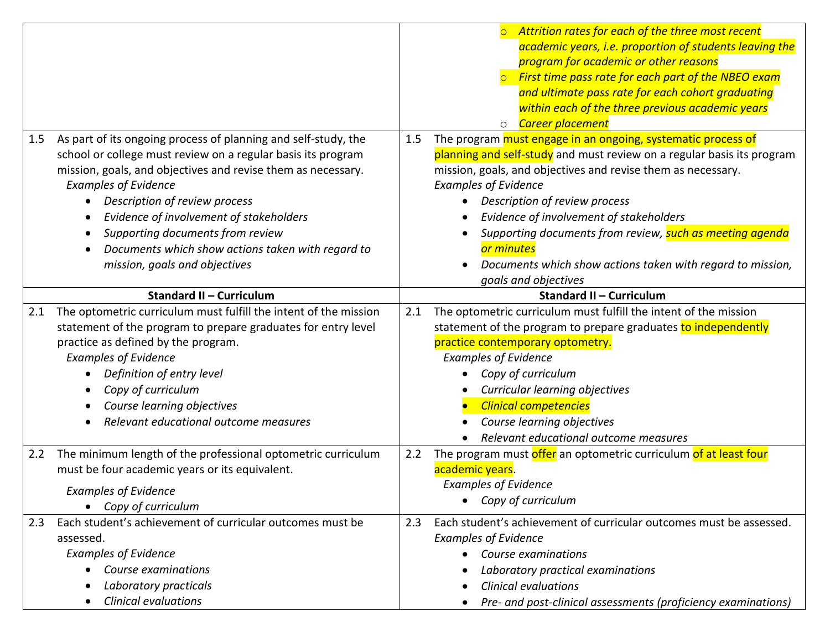|     |                                                                                                                                                                                                                                                                                                                                                                                                                                     |     | Attrition rates for each of the three most recent<br>academic years, i.e. proportion of students leaving the<br>program for academic or other reasons<br>$\circ$ First time pass rate for each part of the NBEO exam<br>and ultimate pass rate for each cohort graduating<br>within each of the three previous academic years<br>Career placement<br>$\circ$                                                                                                                      |
|-----|-------------------------------------------------------------------------------------------------------------------------------------------------------------------------------------------------------------------------------------------------------------------------------------------------------------------------------------------------------------------------------------------------------------------------------------|-----|-----------------------------------------------------------------------------------------------------------------------------------------------------------------------------------------------------------------------------------------------------------------------------------------------------------------------------------------------------------------------------------------------------------------------------------------------------------------------------------|
| 1.5 | As part of its ongoing process of planning and self-study, the<br>school or college must review on a regular basis its program<br>mission, goals, and objectives and revise them as necessary.<br><b>Examples of Evidence</b><br>Description of review process<br>Evidence of involvement of stakeholders<br>Supporting documents from review<br>Documents which show actions taken with regard to<br>mission, goals and objectives | 1.5 | The program must engage in an ongoing, systematic process of<br>planning and self-study and must review on a regular basis its program<br>mission, goals, and objectives and revise them as necessary.<br><b>Examples of Evidence</b><br>Description of review process<br>Evidence of involvement of stakeholders<br>Supporting documents from review, such as meeting agenda<br>or minutes<br>Documents which show actions taken with regard to mission,<br>goals and objectives |
|     | <b>Standard II - Curriculum</b>                                                                                                                                                                                                                                                                                                                                                                                                     |     | <b>Standard II - Curriculum</b>                                                                                                                                                                                                                                                                                                                                                                                                                                                   |
| 2.1 | The optometric curriculum must fulfill the intent of the mission<br>statement of the program to prepare graduates for entry level<br>practice as defined by the program.<br><b>Examples of Evidence</b><br>Definition of entry level<br>Copy of curriculum<br>Course learning objectives<br>Relevant educational outcome measures                                                                                                   | 2.1 | The optometric curriculum must fulfill the intent of the mission<br>statement of the program to prepare graduates to independently<br>practice contemporary optometry.<br><b>Examples of Evidence</b><br>Copy of curriculum<br>Curricular learning objectives<br><b>Clinical competencies</b><br>Course learning objectives<br>Relevant educational outcome measures                                                                                                              |
| 2.2 | The minimum length of the professional optometric curriculum<br>must be four academic years or its equivalent.<br><b>Examples of Evidence</b><br>Copy of curriculum                                                                                                                                                                                                                                                                 | 2.2 | The program must offer an optometric curriculum of at least four<br>academic years.<br><b>Examples of Evidence</b><br>Copy of curriculum                                                                                                                                                                                                                                                                                                                                          |
| 2.3 | Each student's achievement of curricular outcomes must be<br>assessed.<br><b>Examples of Evidence</b><br>Course examinations<br>Laboratory practicals<br><b>Clinical evaluations</b>                                                                                                                                                                                                                                                | 2.3 | Each student's achievement of curricular outcomes must be assessed.<br><b>Examples of Evidence</b><br>Course examinations<br>Laboratory practical examinations<br><b>Clinical evaluations</b><br>Pre- and post-clinical assessments (proficiency examinations)                                                                                                                                                                                                                    |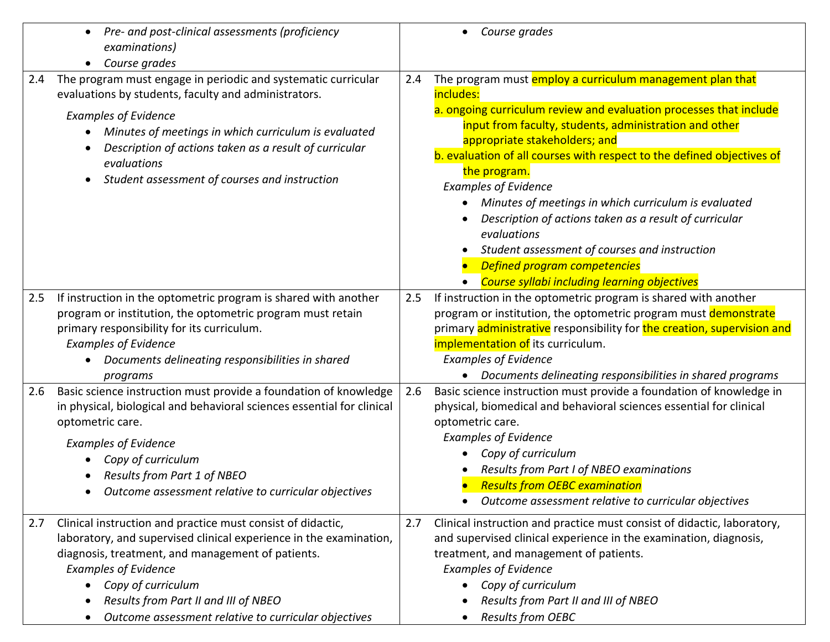| Pre- and post-clinical assessments (proficiency<br>examinations)<br>Course grades                                                                                                                                                                                                                                                                  | Course grades                                                                                                                                                                                                                                                                                                                                                                                                                                                                                                                                                                                                                                           |
|----------------------------------------------------------------------------------------------------------------------------------------------------------------------------------------------------------------------------------------------------------------------------------------------------------------------------------------------------|---------------------------------------------------------------------------------------------------------------------------------------------------------------------------------------------------------------------------------------------------------------------------------------------------------------------------------------------------------------------------------------------------------------------------------------------------------------------------------------------------------------------------------------------------------------------------------------------------------------------------------------------------------|
| The program must engage in periodic and systematic curricular<br>2.4<br>evaluations by students, faculty and administrators.<br><b>Examples of Evidence</b><br>Minutes of meetings in which curriculum is evaluated<br>Description of actions taken as a result of curricular<br>evaluations<br>Student assessment of courses and instruction      | The program must employ a curriculum management plan that<br>2.4<br>includes:<br>a. ongoing curriculum review and evaluation processes that include<br>input from faculty, students, administration and other<br>appropriate stakeholders; and<br>b. evaluation of all courses with respect to the defined objectives of<br>the program.<br><b>Examples of Evidence</b><br>Minutes of meetings in which curriculum is evaluated<br>Description of actions taken as a result of curricular<br>evaluations<br>Student assessment of courses and instruction<br><b>Defined program competencies</b><br><b>Course syllabi including learning objectives</b> |
| If instruction in the optometric program is shared with another<br>2.5<br>program or institution, the optometric program must retain<br>primary responsibility for its curriculum.<br><b>Examples of Evidence</b><br>Documents delineating responsibilities in shared<br>programs                                                                  | If instruction in the optometric program is shared with another<br>2.5<br>program or institution, the optometric program must demonstrate<br>primary administrative responsibility for the creation, supervision and<br>implementation of its curriculum.<br><b>Examples of Evidence</b><br>Documents delineating responsibilities in shared programs                                                                                                                                                                                                                                                                                                   |
| Basic science instruction must provide a foundation of knowledge<br>2.6<br>in physical, biological and behavioral sciences essential for clinical<br>optometric care.<br><b>Examples of Evidence</b><br>Copy of curriculum<br>Results from Part 1 of NBEO<br>Outcome assessment relative to curricular objectives                                  | Basic science instruction must provide a foundation of knowledge in<br>2.6<br>physical, biomedical and behavioral sciences essential for clinical<br>optometric care.<br><b>Examples of Evidence</b><br>Copy of curriculum<br>Results from Part I of NBEO examinations<br><b>Results from OEBC examination</b><br>Outcome assessment relative to curricular objectives                                                                                                                                                                                                                                                                                  |
| Clinical instruction and practice must consist of didactic,<br>2.7<br>laboratory, and supervised clinical experience in the examination,<br>diagnosis, treatment, and management of patients.<br><b>Examples of Evidence</b><br>Copy of curriculum<br>Results from Part II and III of NBEO<br>Outcome assessment relative to curricular objectives | Clinical instruction and practice must consist of didactic, laboratory,<br>2.7<br>and supervised clinical experience in the examination, diagnosis,<br>treatment, and management of patients.<br><b>Examples of Evidence</b><br>Copy of curriculum<br>Results from Part II and III of NBEO<br>Results from OEBC                                                                                                                                                                                                                                                                                                                                         |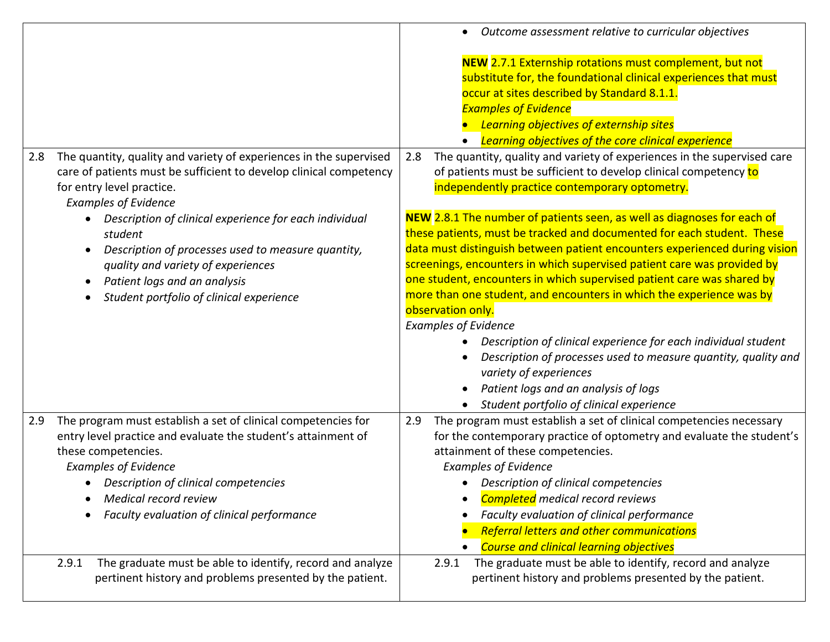|                                                                                                                                                                                                                                                                                                            | Outcome assessment relative to curricular objectives                                                                                                                                                                                                                                                                                                                                                                                                           |
|------------------------------------------------------------------------------------------------------------------------------------------------------------------------------------------------------------------------------------------------------------------------------------------------------------|----------------------------------------------------------------------------------------------------------------------------------------------------------------------------------------------------------------------------------------------------------------------------------------------------------------------------------------------------------------------------------------------------------------------------------------------------------------|
|                                                                                                                                                                                                                                                                                                            | NEW 2.7.1 Externship rotations must complement, but not<br>substitute for, the foundational clinical experiences that must<br>occur at sites described by Standard 8.1.1.<br><b>Examples of Evidence</b><br><b>Learning objectives of externship sites</b><br><b>Learning objectives of the core clinical experience</b>                                                                                                                                       |
| 2.8 The quantity, quality and variety of experiences in the supervised<br>care of patients must be sufficient to develop clinical competency<br>for entry level practice.<br><b>Examples of Evidence</b>                                                                                                   | The quantity, quality and variety of experiences in the supervised care<br>2.8<br>of patients must be sufficient to develop clinical competency to<br>independently practice contemporary optometry.                                                                                                                                                                                                                                                           |
| Description of clinical experience for each individual<br>student                                                                                                                                                                                                                                          | NEW 2.8.1 The number of patients seen, as well as diagnoses for each of<br>these patients, must be tracked and documented for each student. These                                                                                                                                                                                                                                                                                                              |
| Description of processes used to measure quantity,                                                                                                                                                                                                                                                         | data must distinguish between patient encounters experienced during vision                                                                                                                                                                                                                                                                                                                                                                                     |
| quality and variety of experiences                                                                                                                                                                                                                                                                         | screenings, encounters in which supervised patient care was provided by                                                                                                                                                                                                                                                                                                                                                                                        |
| Patient logs and an analysis                                                                                                                                                                                                                                                                               | one student, encounters in which supervised patient care was shared by                                                                                                                                                                                                                                                                                                                                                                                         |
| Student portfolio of clinical experience                                                                                                                                                                                                                                                                   | more than one student, and encounters in which the experience was by                                                                                                                                                                                                                                                                                                                                                                                           |
|                                                                                                                                                                                                                                                                                                            | observation only.                                                                                                                                                                                                                                                                                                                                                                                                                                              |
|                                                                                                                                                                                                                                                                                                            | <b>Examples of Evidence</b>                                                                                                                                                                                                                                                                                                                                                                                                                                    |
|                                                                                                                                                                                                                                                                                                            | Description of clinical experience for each individual student                                                                                                                                                                                                                                                                                                                                                                                                 |
|                                                                                                                                                                                                                                                                                                            | Description of processes used to measure quantity, quality and<br>variety of experiences                                                                                                                                                                                                                                                                                                                                                                       |
|                                                                                                                                                                                                                                                                                                            | Patient logs and an analysis of logs                                                                                                                                                                                                                                                                                                                                                                                                                           |
|                                                                                                                                                                                                                                                                                                            | Student portfolio of clinical experience                                                                                                                                                                                                                                                                                                                                                                                                                       |
| The program must establish a set of clinical competencies for<br>2.9<br>entry level practice and evaluate the student's attainment of<br>these competencies.<br><b>Examples of Evidence</b><br>Description of clinical competencies<br>Medical record review<br>Faculty evaluation of clinical performance | The program must establish a set of clinical competencies necessary<br>2.9<br>for the contemporary practice of optometry and evaluate the student's<br>attainment of these competencies.<br><b>Examples of Evidence</b><br>Description of clinical competencies<br><b>Completed</b> medical record reviews<br>Faculty evaluation of clinical performance<br><b>Referral letters and other communications</b><br><b>Course and clinical learning objectives</b> |
| pertinent history and problems presented by the patient.                                                                                                                                                                                                                                                   | pertinent history and problems presented by the patient.                                                                                                                                                                                                                                                                                                                                                                                                       |
| The graduate must be able to identify, record and analyze<br>2.9.1                                                                                                                                                                                                                                         | The graduate must be able to identify, record and analyze<br>2.9.1                                                                                                                                                                                                                                                                                                                                                                                             |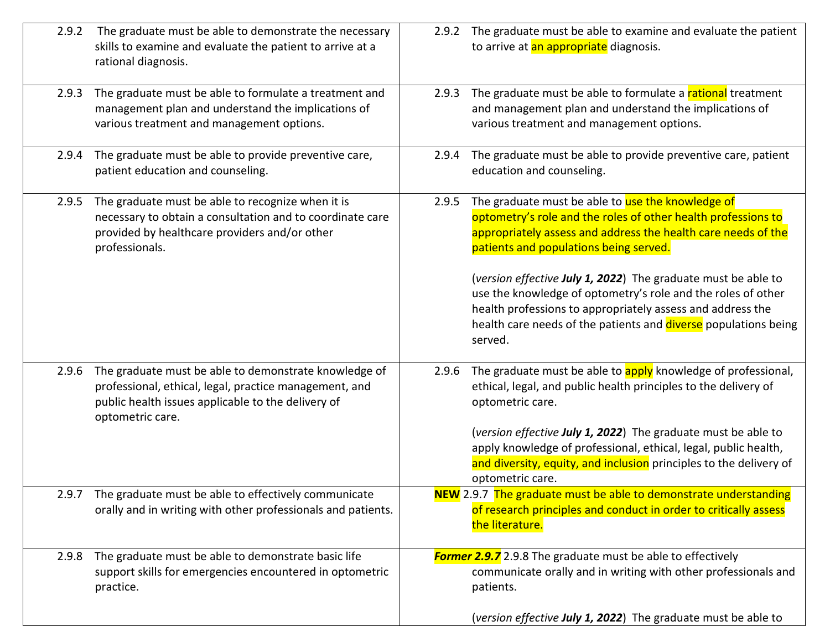| 2.9.2 | The graduate must be able to demonstrate the necessary<br>skills to examine and evaluate the patient to arrive at a<br>rational diagnosis.                                                |       | 2.9.2 The graduate must be able to examine and evaluate the patient<br>to arrive at an appropriate diagnosis.                                                                                                                                                                                                                                                                                                                                                                                              |
|-------|-------------------------------------------------------------------------------------------------------------------------------------------------------------------------------------------|-------|------------------------------------------------------------------------------------------------------------------------------------------------------------------------------------------------------------------------------------------------------------------------------------------------------------------------------------------------------------------------------------------------------------------------------------------------------------------------------------------------------------|
| 2.9.3 | The graduate must be able to formulate a treatment and<br>management plan and understand the implications of<br>various treatment and management options.                                 | 2.9.3 | The graduate must be able to formulate a rational treatment<br>and management plan and understand the implications of<br>various treatment and management options.                                                                                                                                                                                                                                                                                                                                         |
| 2.9.4 | The graduate must be able to provide preventive care,<br>patient education and counseling.                                                                                                | 2.9.4 | The graduate must be able to provide preventive care, patient<br>education and counseling.                                                                                                                                                                                                                                                                                                                                                                                                                 |
| 2.9.5 | The graduate must be able to recognize when it is<br>necessary to obtain a consultation and to coordinate care<br>provided by healthcare providers and/or other<br>professionals.         | 2.9.5 | The graduate must be able to use the knowledge of<br>optometry's role and the roles of other health professions to<br>appropriately assess and address the health care needs of the<br>patients and populations being served.<br>(version effective July 1, 2022) The graduate must be able to<br>use the knowledge of optometry's role and the roles of other<br>health professions to appropriately assess and address the<br>health care needs of the patients and diverse populations being<br>served. |
| 2.9.6 | The graduate must be able to demonstrate knowledge of<br>professional, ethical, legal, practice management, and<br>public health issues applicable to the delivery of<br>optometric care. | 2.9.6 | The graduate must be able to apply knowledge of professional,<br>ethical, legal, and public health principles to the delivery of<br>optometric care.<br>(version effective July 1, 2022) The graduate must be able to<br>apply knowledge of professional, ethical, legal, public health,<br>and diversity, equity, and inclusion principles to the delivery of<br>optometric care.                                                                                                                         |
| 2.9.7 | The graduate must be able to effectively communicate<br>orally and in writing with other professionals and patients.                                                                      |       | <b>NEW</b> 2.9.7 The graduate must be able to demonstrate understanding<br>of research principles and conduct in order to critically assess<br>the literature.                                                                                                                                                                                                                                                                                                                                             |
| 2.9.8 | The graduate must be able to demonstrate basic life<br>support skills for emergencies encountered in optometric<br>practice.                                                              |       | <b>Former 2.9.7</b> 2.9.8 The graduate must be able to effectively<br>communicate orally and in writing with other professionals and<br>patients.<br>(version effective July 1, 2022) The graduate must be able to                                                                                                                                                                                                                                                                                         |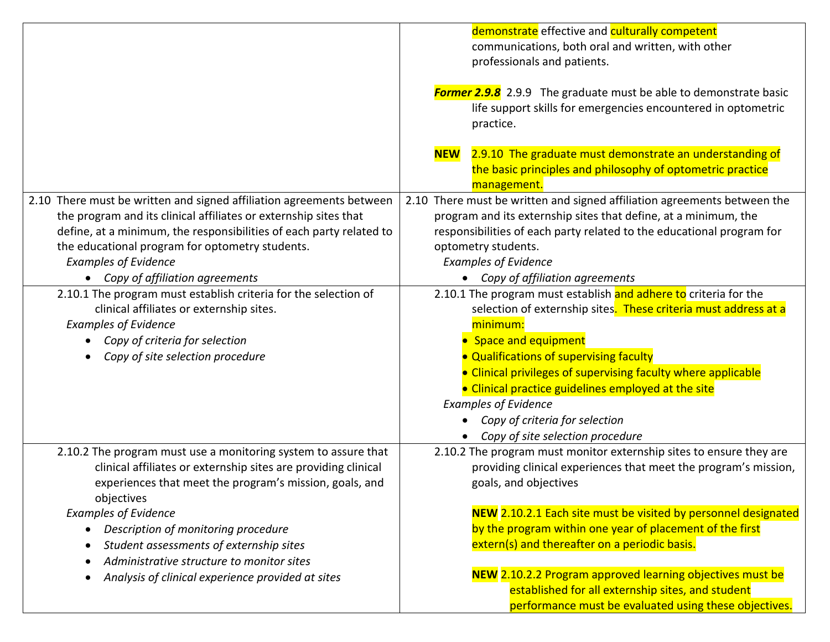|                                                                                                                                                                                                                                                                                                                                     | demonstrate effective and culturally competent<br>communications, both oral and written, with other<br>professionals and patients.<br><b>Former 2.9.8</b> 2.9.9 The graduate must be able to demonstrate basic<br>life support skills for emergencies encountered in optometric<br>practice.                                                                                                                                                     |
|-------------------------------------------------------------------------------------------------------------------------------------------------------------------------------------------------------------------------------------------------------------------------------------------------------------------------------------|--------------------------------------------------------------------------------------------------------------------------------------------------------------------------------------------------------------------------------------------------------------------------------------------------------------------------------------------------------------------------------------------------------------------------------------------------|
|                                                                                                                                                                                                                                                                                                                                     | 2.9.10 The graduate must demonstrate an understanding of<br><b>NEW</b><br>the basic principles and philosophy of optometric practice<br>management.                                                                                                                                                                                                                                                                                              |
| 2.10 There must be written and signed affiliation agreements between<br>the program and its clinical affiliates or externship sites that<br>define, at a minimum, the responsibilities of each party related to<br>the educational program for optometry students.<br><b>Examples of Evidence</b><br>Copy of affiliation agreements | 2.10 There must be written and signed affiliation agreements between the<br>program and its externship sites that define, at a minimum, the<br>responsibilities of each party related to the educational program for<br>optometry students.<br><b>Examples of Evidence</b><br>• Copy of affiliation agreements                                                                                                                                   |
| 2.10.1 The program must establish criteria for the selection of<br>clinical affiliates or externship sites.<br><b>Examples of Evidence</b><br>Copy of criteria for selection<br>Copy of site selection procedure                                                                                                                    | 2.10.1 The program must establish and adhere to criteria for the<br>selection of externship sites. These criteria must address at a<br>minimum:<br>• Space and equipment<br>• Qualifications of supervising faculty<br>• Clinical privileges of supervising faculty where applicable<br>• Clinical practice guidelines employed at the site<br><b>Examples of Evidence</b><br>Copy of criteria for selection<br>Copy of site selection procedure |
| 2.10.2 The program must use a monitoring system to assure that<br>clinical affiliates or externship sites are providing clinical<br>experiences that meet the program's mission, goals, and<br>objectives                                                                                                                           | 2.10.2 The program must monitor externship sites to ensure they are<br>providing clinical experiences that meet the program's mission,<br>goals, and objectives                                                                                                                                                                                                                                                                                  |
| <b>Examples of Evidence</b><br>Description of monitoring procedure<br>Student assessments of externship sites<br>Administrative structure to monitor sites                                                                                                                                                                          | NEW 2.10.2.1 Each site must be visited by personnel designated<br>by the program within one year of placement of the first<br>extern(s) and thereafter on a periodic basis.                                                                                                                                                                                                                                                                      |
| Analysis of clinical experience provided at sites                                                                                                                                                                                                                                                                                   | NEW 2.10.2.2 Program approved learning objectives must be<br>established for all externship sites, and student<br>performance must be evaluated using these objectives.                                                                                                                                                                                                                                                                          |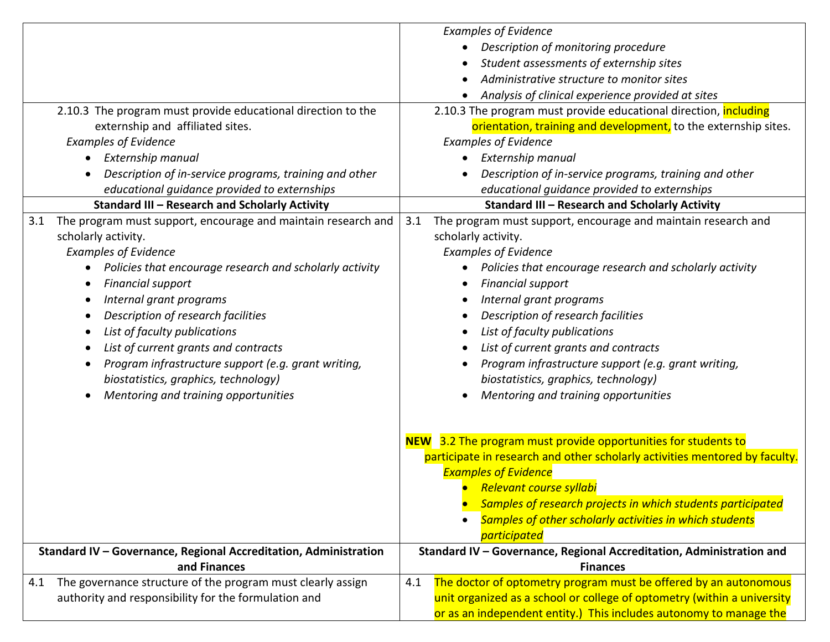|                                                                                                                            | <b>Examples of Evidence</b>                                                             |
|----------------------------------------------------------------------------------------------------------------------------|-----------------------------------------------------------------------------------------|
|                                                                                                                            | Description of monitoring procedure                                                     |
|                                                                                                                            | Student assessments of externship sites                                                 |
|                                                                                                                            | Administrative structure to monitor sites                                               |
|                                                                                                                            | Analysis of clinical experience provided at sites                                       |
| 2.10.3 The program must provide educational direction to the                                                               | 2.10.3 The program must provide educational direction, including                        |
| externship and affiliated sites.                                                                                           | orientation, training and development, to the externship sites.                         |
| <b>Examples of Evidence</b>                                                                                                | <b>Examples of Evidence</b>                                                             |
| • Externship manual                                                                                                        | • Externship manual                                                                     |
| Description of in-service programs, training and other                                                                     | Description of in-service programs, training and other                                  |
| educational guidance provided to externships                                                                               | educational guidance provided to externships                                            |
| <b>Standard III - Research and Scholarly Activity</b>                                                                      | <b>Standard III - Research and Scholarly Activity</b>                                   |
| 3.1 The program must support, encourage and maintain research and                                                          | The program must support, encourage and maintain research and<br>3.1                    |
| scholarly activity.                                                                                                        | scholarly activity.                                                                     |
| <b>Examples of Evidence</b>                                                                                                | <b>Examples of Evidence</b>                                                             |
| Policies that encourage research and scholarly activity                                                                    | Policies that encourage research and scholarly activity                                 |
| <b>Financial support</b>                                                                                                   | <b>Financial support</b>                                                                |
| Internal grant programs                                                                                                    | Internal grant programs                                                                 |
| Description of research facilities                                                                                         | Description of research facilities                                                      |
| List of faculty publications                                                                                               | List of faculty publications                                                            |
| List of current grants and contracts                                                                                       | List of current grants and contracts                                                    |
| Program infrastructure support (e.g. grant writing,<br>$\bullet$                                                           | Program infrastructure support (e.g. grant writing,                                     |
| biostatistics, graphics, technology)                                                                                       | biostatistics, graphics, technology)                                                    |
| Mentoring and training opportunities                                                                                       | Mentoring and training opportunities                                                    |
|                                                                                                                            |                                                                                         |
|                                                                                                                            |                                                                                         |
|                                                                                                                            | NEW 3.2 The program must provide opportunities for students to                          |
|                                                                                                                            | participate in research and other scholarly activities mentored by faculty.             |
|                                                                                                                            | <b>Examples of Evidence</b>                                                             |
|                                                                                                                            | <b>Relevant course syllabi</b>                                                          |
|                                                                                                                            | Samples of research projects in which students participated                             |
|                                                                                                                            | Samples of other scholarly activities in which students                                 |
|                                                                                                                            | participated                                                                            |
| Standard IV - Governance, Regional Accreditation, Administration<br>and Finances                                           | Standard IV - Governance, Regional Accreditation, Administration and<br><b>Finances</b> |
|                                                                                                                            | The doctor of optometry program must be offered by an autonomous<br>4.1                 |
| The governance structure of the program must clearly assign<br>4.1<br>authority and responsibility for the formulation and | unit organized as a school or college of optometry (within a university                 |
|                                                                                                                            | or as an independent entity.) This includes autonomy to manage the                      |
|                                                                                                                            |                                                                                         |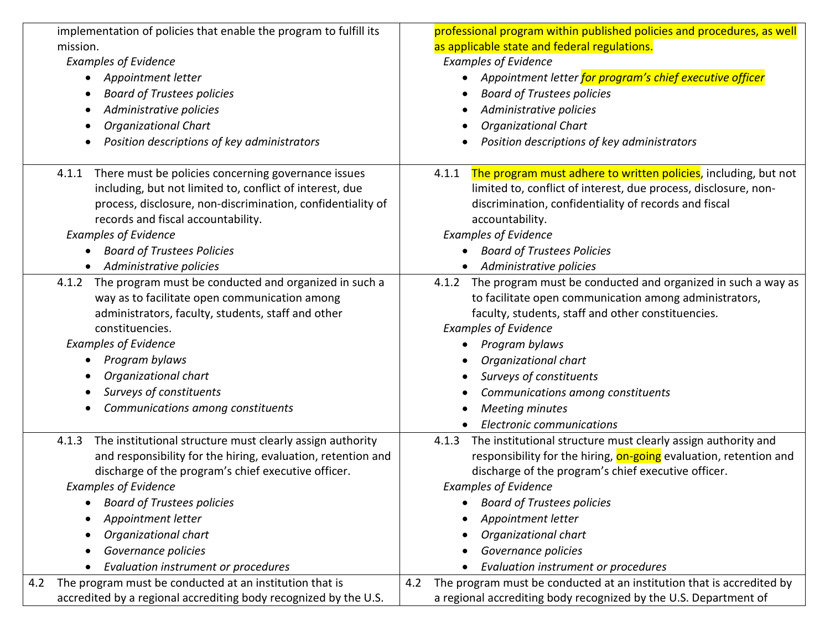| implementation of policies that enable the program to fulfill its  | professional program within published policies and procedures, as well       |
|--------------------------------------------------------------------|------------------------------------------------------------------------------|
| mission.                                                           | as applicable state and federal regulations.                                 |
| <b>Examples of Evidence</b>                                        | <b>Examples of Evidence</b>                                                  |
| Appointment letter<br>$\bullet$                                    | Appointment letter <mark>for program's chief executive officer</mark>        |
| <b>Board of Trustees policies</b><br>$\bullet$                     | <b>Board of Trustees policies</b>                                            |
| Administrative policies<br>٠                                       | Administrative policies                                                      |
| <b>Organizational Chart</b><br>٠                                   | <b>Organizational Chart</b>                                                  |
| Position descriptions of key administrators                        | Position descriptions of key administrators                                  |
| 4.1.1 There must be policies concerning governance issues          | The program must adhere to written policies, including, but not<br>4.1.1     |
| including, but not limited to, conflict of interest, due           | limited to, conflict of interest, due process, disclosure, non-              |
| process, disclosure, non-discrimination, confidentiality of        | discrimination, confidentiality of records and fiscal                        |
| records and fiscal accountability.                                 | accountability.                                                              |
| <b>Examples of Evidence</b>                                        | <b>Examples of Evidence</b>                                                  |
| <b>Board of Trustees Policies</b><br>$\bullet$                     | <b>Board of Trustees Policies</b>                                            |
| Administrative policies                                            | Administrative policies                                                      |
| 4.1.2 The program must be conducted and organized in such a        | The program must be conducted and organized in such a way as<br>4.1.2        |
| way as to facilitate open communication among                      | to facilitate open communication among administrators,                       |
| administrators, faculty, students, staff and other                 | faculty, students, staff and other constituencies.                           |
| constituencies.                                                    | <b>Examples of Evidence</b>                                                  |
| <b>Examples of Evidence</b>                                        | Program bylaws                                                               |
| Program bylaws                                                     | Organizational chart                                                         |
| Organizational chart<br>٠                                          | Surveys of constituents                                                      |
| Surveys of constituents                                            | Communications among constituents                                            |
| Communications among constituents                                  | <b>Meeting minutes</b>                                                       |
|                                                                    | <b>Electronic communications</b>                                             |
| The institutional structure must clearly assign authority<br>4.1.3 | The institutional structure must clearly assign authority and<br>4.1.3       |
| and responsibility for the hiring, evaluation, retention and       | responsibility for the hiring, on-going evaluation, retention and            |
| discharge of the program's chief executive officer.                | discharge of the program's chief executive officer.                          |
| <b>Examples of Evidence</b>                                        | <b>Examples of Evidence</b>                                                  |
| <b>Board of Trustees policies</b>                                  | <b>Board of Trustees policies</b>                                            |
| Appointment letter                                                 | Appointment letter                                                           |
| Organizational chart<br>٠                                          | Organizational chart                                                         |
| Governance policies                                                | Governance policies                                                          |
| Evaluation instrument or procedures<br>$\bullet$                   | Evaluation instrument or procedures                                          |
| 4.2<br>The program must be conducted at an institution that is     | The program must be conducted at an institution that is accredited by<br>4.2 |
| accredited by a regional accrediting body recognized by the U.S.   | a regional accrediting body recognized by the U.S. Department of             |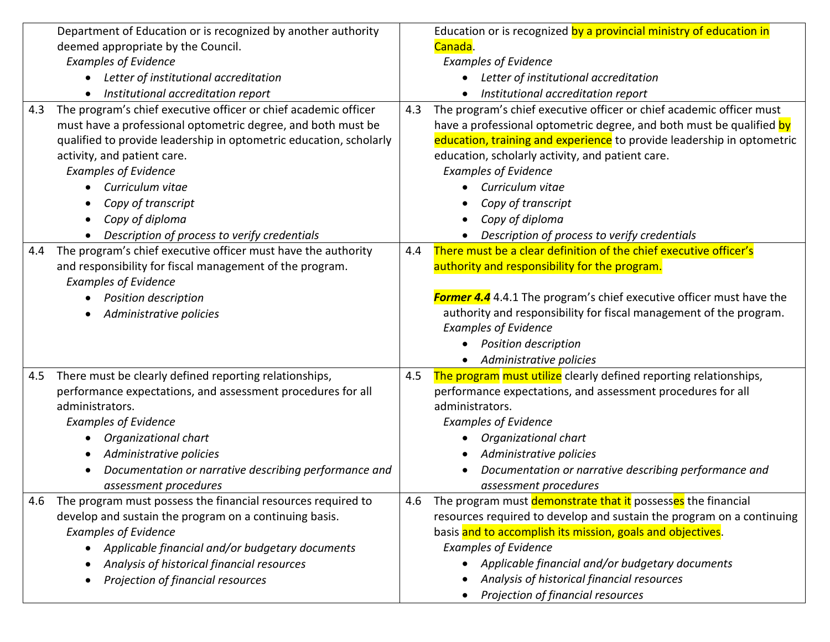|     | Department of Education or is recognized by another authority      |     | Education or is recognized by a provincial ministry of education in    |
|-----|--------------------------------------------------------------------|-----|------------------------------------------------------------------------|
|     | deemed appropriate by the Council.                                 |     | Canada.                                                                |
|     | <b>Examples of Evidence</b>                                        |     | <b>Examples of Evidence</b>                                            |
|     | Letter of institutional accreditation                              |     | Letter of institutional accreditation                                  |
|     | Institutional accreditation report                                 |     | Institutional accreditation report                                     |
| 4.3 | The program's chief executive officer or chief academic officer    | 4.3 | The program's chief executive officer or chief academic officer must   |
|     | must have a professional optometric degree, and both must be       |     | have a professional optometric degree, and both must be qualified by   |
|     | qualified to provide leadership in optometric education, scholarly |     | education, training and experience to provide leadership in optometric |
|     | activity, and patient care.                                        |     | education, scholarly activity, and patient care.                       |
|     | <b>Examples of Evidence</b>                                        |     | <b>Examples of Evidence</b>                                            |
|     | Curriculum vitae                                                   |     | Curriculum vitae                                                       |
|     | Copy of transcript                                                 |     | Copy of transcript                                                     |
|     | Copy of diploma                                                    |     | Copy of diploma                                                        |
|     | Description of process to verify credentials                       |     | Description of process to verify credentials                           |
| 4.4 | The program's chief executive officer must have the authority      | 4.4 | There must be a clear definition of the chief executive officer's      |
|     | and responsibility for fiscal management of the program.           |     | authority and responsibility for the program.                          |
|     | <b>Examples of Evidence</b>                                        |     |                                                                        |
|     | <b>Position description</b>                                        |     | Former 4.4 4.4.1 The program's chief executive officer must have the   |
|     | Administrative policies                                            |     | authority and responsibility for fiscal management of the program.     |
|     |                                                                    |     | <b>Examples of Evidence</b>                                            |
|     |                                                                    |     | <b>Position description</b>                                            |
|     |                                                                    |     | Administrative policies                                                |
| 4.5 | There must be clearly defined reporting relationships,             | 4.5 | The program must utilize clearly defined reporting relationships,      |
|     | performance expectations, and assessment procedures for all        |     | performance expectations, and assessment procedures for all            |
|     | administrators.                                                    |     | administrators.                                                        |
|     | <b>Examples of Evidence</b>                                        |     | <b>Examples of Evidence</b>                                            |
|     | Organizational chart                                               |     | Organizational chart                                                   |
|     | Administrative policies                                            |     | Administrative policies                                                |
|     | Documentation or narrative describing performance and              |     | Documentation or narrative describing performance and                  |
|     | assessment procedures                                              |     | assessment procedures                                                  |
| 4.6 | The program must possess the financial resources required to       | 4.6 | The program must demonstrate that it possesses the financial           |
|     | develop and sustain the program on a continuing basis.             |     | resources required to develop and sustain the program on a continuing  |
|     | <b>Examples of Evidence</b>                                        |     | basis and to accomplish its mission, goals and objectives.             |
|     | • Applicable financial and/or budgetary documents                  |     | <b>Examples of Evidence</b>                                            |
|     | Analysis of historical financial resources                         |     | Applicable financial and/or budgetary documents                        |
|     | Projection of financial resources                                  |     | Analysis of historical financial resources                             |
|     |                                                                    |     | Projection of financial resources                                      |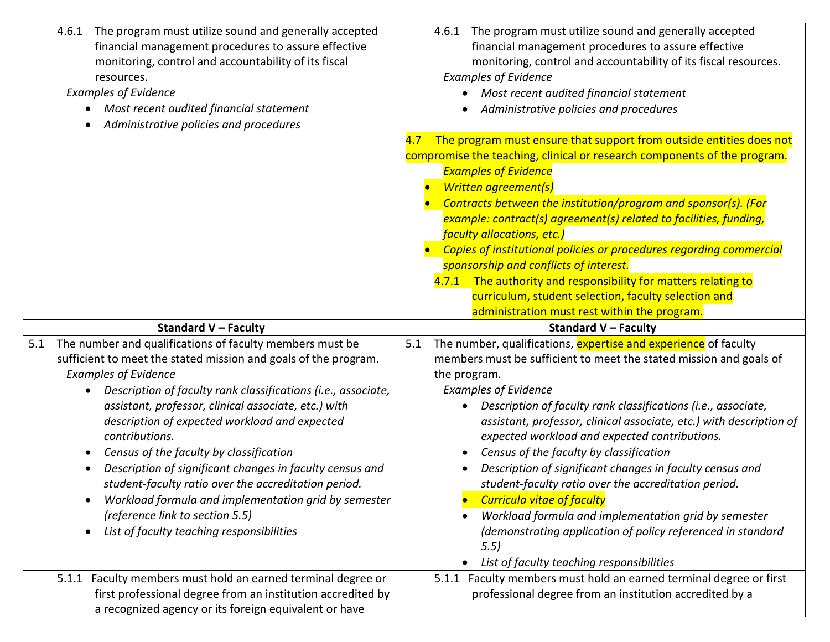| The program must utilize sound and generally accepted<br>4.6.1<br>financial management procedures to assure effective<br>monitoring, control and accountability of its fiscal<br>resources.<br><b>Examples of Evidence</b><br>Most recent audited financial statement<br>Administrative policies and procedures                                                                                                                                                                                                                                                                                                                                                                   | The program must utilize sound and generally accepted<br>4.6.1<br>financial management procedures to assure effective<br>monitoring, control and accountability of its fiscal resources.<br><b>Examples of Evidence</b><br>Most recent audited financial statement<br>Administrative policies and procedures                                                                                                                                                                                                                                                                                                                                                                                                                                                                      |
|-----------------------------------------------------------------------------------------------------------------------------------------------------------------------------------------------------------------------------------------------------------------------------------------------------------------------------------------------------------------------------------------------------------------------------------------------------------------------------------------------------------------------------------------------------------------------------------------------------------------------------------------------------------------------------------|-----------------------------------------------------------------------------------------------------------------------------------------------------------------------------------------------------------------------------------------------------------------------------------------------------------------------------------------------------------------------------------------------------------------------------------------------------------------------------------------------------------------------------------------------------------------------------------------------------------------------------------------------------------------------------------------------------------------------------------------------------------------------------------|
|                                                                                                                                                                                                                                                                                                                                                                                                                                                                                                                                                                                                                                                                                   | The program must ensure that support from outside entities does not<br>4.7<br>compromise the teaching, clinical or research components of the program.<br><b>Examples of Evidence</b><br><b>Written agreement(s)</b><br>Contracts between the institution/program and sponsor(s). (For<br>example: contract(s) agreement(s) related to facilities, funding,<br>faculty allocations, etc.)<br>Copies of institutional policies or procedures regarding commercial<br>sponsorship and conflicts of interest.                                                                                                                                                                                                                                                                        |
|                                                                                                                                                                                                                                                                                                                                                                                                                                                                                                                                                                                                                                                                                   | 4.7.1 The authority and responsibility for matters relating to<br>curriculum, student selection, faculty selection and<br>administration must rest within the program.                                                                                                                                                                                                                                                                                                                                                                                                                                                                                                                                                                                                            |
| <b>Standard V - Faculty</b>                                                                                                                                                                                                                                                                                                                                                                                                                                                                                                                                                                                                                                                       | <b>Standard V - Faculty</b>                                                                                                                                                                                                                                                                                                                                                                                                                                                                                                                                                                                                                                                                                                                                                       |
| The number and qualifications of faculty members must be<br>5.1<br>sufficient to meet the stated mission and goals of the program.<br><b>Examples of Evidence</b><br>Description of faculty rank classifications (i.e., associate,<br>assistant, professor, clinical associate, etc.) with<br>description of expected workload and expected<br>contributions.<br>Census of the faculty by classification<br>$\bullet$<br>Description of significant changes in faculty census and<br>student-faculty ratio over the accreditation period.<br>Workload formula and implementation grid by semester<br>(reference link to section 5.5)<br>List of faculty teaching responsibilities | The number, qualifications, expertise and experience of faculty<br>5.1<br>members must be sufficient to meet the stated mission and goals of<br>the program.<br><b>Examples of Evidence</b><br>Description of faculty rank classifications (i.e., associate,<br>$\bullet$<br>assistant, professor, clinical associate, etc.) with description of<br>expected workload and expected contributions.<br>Census of the faculty by classification<br>Description of significant changes in faculty census and<br>student-faculty ratio over the accreditation period.<br><b>Curricula vitae of faculty</b><br>Workload formula and implementation grid by semester<br>(demonstrating application of policy referenced in standard<br>5.5)<br>List of faculty teaching responsibilities |
| 5.1.1 Faculty members must hold an earned terminal degree or<br>first professional degree from an institution accredited by<br>a recognized agency or its foreign equivalent or have                                                                                                                                                                                                                                                                                                                                                                                                                                                                                              | 5.1.1 Faculty members must hold an earned terminal degree or first<br>professional degree from an institution accredited by a                                                                                                                                                                                                                                                                                                                                                                                                                                                                                                                                                                                                                                                     |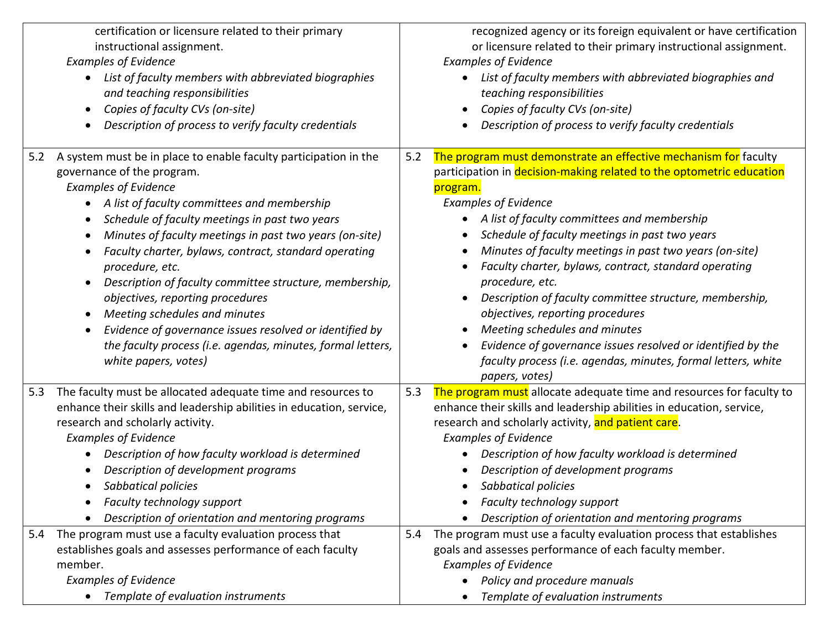|                                                         | certification or licensure related to their primary<br>instructional assignment.<br><b>Examples of Evidence</b><br>List of faculty members with abbreviated biographies<br>and teaching responsibilities<br>Copies of faculty CVs (on-site)<br>Description of process to verify faculty credentials                                                                                                                                                                                                                                                                                                                                                     |            | recognized agency or its foreign equivalent or have certification<br>or licensure related to their primary instructional assignment.<br><b>Examples of Evidence</b><br>List of faculty members with abbreviated biographies and<br>teaching responsibilities<br>Copies of faculty CVs (on-site)<br>Description of process to verify faculty credentials                                                                                                                                                                                                                                                                                                                                                                   |
|---------------------------------------------------------|---------------------------------------------------------------------------------------------------------------------------------------------------------------------------------------------------------------------------------------------------------------------------------------------------------------------------------------------------------------------------------------------------------------------------------------------------------------------------------------------------------------------------------------------------------------------------------------------------------------------------------------------------------|------------|---------------------------------------------------------------------------------------------------------------------------------------------------------------------------------------------------------------------------------------------------------------------------------------------------------------------------------------------------------------------------------------------------------------------------------------------------------------------------------------------------------------------------------------------------------------------------------------------------------------------------------------------------------------------------------------------------------------------------|
| 5.2<br>$\bullet$<br>$\bullet$<br>$\bullet$<br>$\bullet$ | A system must be in place to enable faculty participation in the<br>governance of the program.<br><b>Examples of Evidence</b><br>A list of faculty committees and membership<br>Schedule of faculty meetings in past two years<br>Minutes of faculty meetings in past two years (on-site)<br>Faculty charter, bylaws, contract, standard operating<br>procedure, etc.<br>Description of faculty committee structure, membership,<br>objectives, reporting procedures<br>Meeting schedules and minutes<br>Evidence of governance issues resolved or identified by<br>the faculty process (i.e. agendas, minutes, formal letters,<br>white papers, votes) | 5.2        | The program must demonstrate an effective mechanism for faculty<br>participation in decision-making related to the optometric education<br>program.<br><b>Examples of Evidence</b><br>A list of faculty committees and membership<br>Schedule of faculty meetings in past two years<br>Minutes of faculty meetings in past two years (on-site)<br>Faculty charter, bylaws, contract, standard operating<br>procedure, etc.<br>Description of faculty committee structure, membership,<br>objectives, reporting procedures<br>Meeting schedules and minutes<br>Evidence of governance issues resolved or identified by the<br>$\bullet$<br>faculty process (i.e. agendas, minutes, formal letters, white<br>papers, votes) |
| 5.3<br>5.4                                              | The faculty must be allocated adequate time and resources to<br>enhance their skills and leadership abilities in education, service,<br>research and scholarly activity.<br><b>Examples of Evidence</b><br>Description of how faculty workload is determined<br>Description of development programs<br>Sabbatical policies<br>Faculty technology support<br>Description of orientation and mentoring programs<br>The program must use a faculty evaluation process that                                                                                                                                                                                 | 5.3<br>5.4 | The program must allocate adequate time and resources for faculty to<br>enhance their skills and leadership abilities in education, service,<br>research and scholarly activity, and patient care.<br><b>Examples of Evidence</b><br>Description of how faculty workload is determined<br>Description of development programs<br>Sabbatical policies<br>Faculty technology support<br>Description of orientation and mentoring programs<br>The program must use a faculty evaluation process that establishes                                                                                                                                                                                                             |
| member.                                                 | establishes goals and assesses performance of each faculty<br><b>Examples of Evidence</b><br>Template of evaluation instruments                                                                                                                                                                                                                                                                                                                                                                                                                                                                                                                         |            | goals and assesses performance of each faculty member.<br><b>Examples of Evidence</b><br>Policy and procedure manuals<br>Template of evaluation instruments                                                                                                                                                                                                                                                                                                                                                                                                                                                                                                                                                               |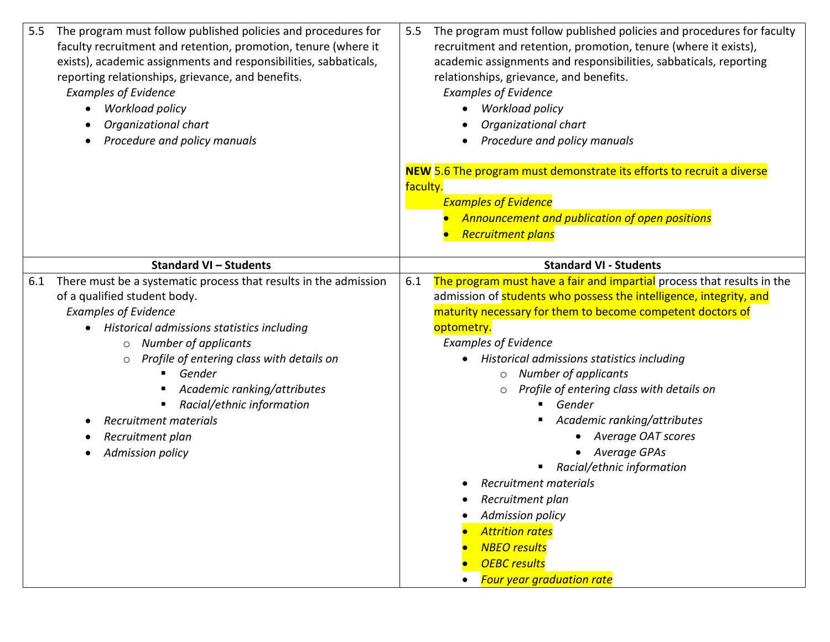| The program must follow published policies and procedures for faculty<br>5.5<br>recruitment and retention, promotion, tenure (where it exists),<br>academic assignments and responsibilities, sabbaticals, reporting<br>relationships, grievance, and benefits.<br><b>Examples of Evidence</b><br><b>Workload policy</b><br>Organizational chart<br>Procedure and policy manuals<br>NEW 5.6 The program must demonstrate its efforts to recruit a diverse<br>faculty.<br><b>Examples of Evidence</b><br>Announcement and publication of open positions<br><b>Recruitment plans</b>                                                                                       |
|--------------------------------------------------------------------------------------------------------------------------------------------------------------------------------------------------------------------------------------------------------------------------------------------------------------------------------------------------------------------------------------------------------------------------------------------------------------------------------------------------------------------------------------------------------------------------------------------------------------------------------------------------------------------------|
| <b>Standard VI - Students</b>                                                                                                                                                                                                                                                                                                                                                                                                                                                                                                                                                                                                                                            |
| The program must have a fair and impartial process that results in the<br>6.1<br>admission of students who possess the intelligence, integrity, and<br>maturity necessary for them to become competent doctors of<br>optometry.<br><b>Examples of Evidence</b><br>Historical admissions statistics including<br>$\circ$ Number of applicants<br>Profile of entering class with details on<br>$\circ$<br>Gender<br>п.<br>Academic ranking/attributes<br>• Average OAT scores<br>Average GPAs<br>Racial/ethnic information<br>Recruitment materials<br>Recruitment plan<br><b>Admission policy</b><br><b>Attrition rates</b><br><b>NBEO</b> results<br><b>OEBC</b> results |
|                                                                                                                                                                                                                                                                                                                                                                                                                                                                                                                                                                                                                                                                          |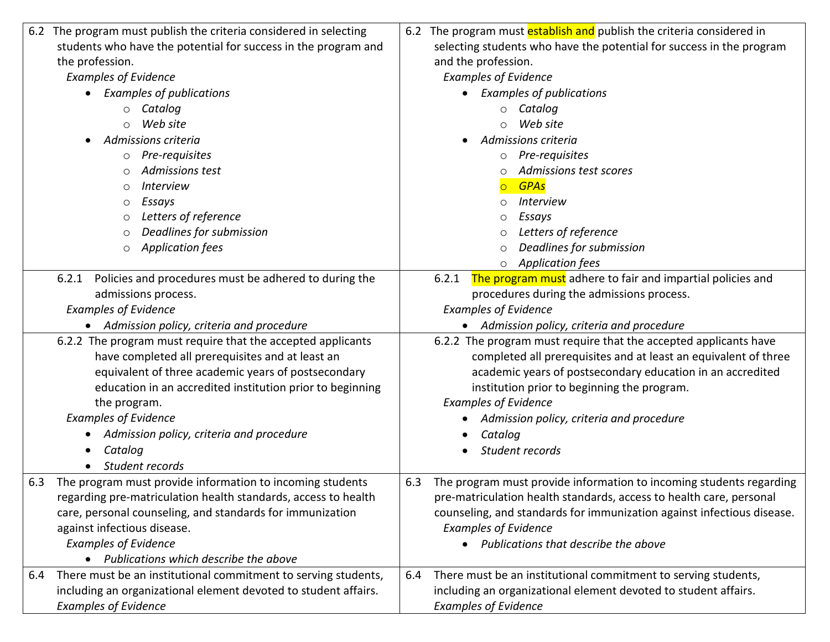|     | 6.2 The program must publish the criteria considered in selecting | 6.2 | The program must establish and publish the criteria considered in      |
|-----|-------------------------------------------------------------------|-----|------------------------------------------------------------------------|
|     | students who have the potential for success in the program and    |     | selecting students who have the potential for success in the program   |
|     | the profession.                                                   |     | and the profession.                                                    |
|     | <b>Examples of Evidence</b>                                       |     | <b>Examples of Evidence</b>                                            |
|     | <b>Examples of publications</b>                                   |     | <b>Examples of publications</b>                                        |
|     | Catalog<br>$\circ$                                                |     | $\circ$ Catalog                                                        |
|     | Web site<br>$\circ$                                               |     | Web site                                                               |
|     | Admissions criteria                                               |     | Admissions criteria                                                    |
|     | Pre-requisites<br>$\circ$                                         |     | Pre-requisites<br>$\circ$                                              |
|     | Admissions test<br>$\circ$                                        |     | Admissions test scores<br>∩                                            |
|     | <b>Interview</b><br>$\circ$                                       |     | <b>GPAs</b><br>$\circ$                                                 |
|     | Essays<br>$\circ$                                                 |     | <i>Interview</i><br>O                                                  |
|     | Letters of reference<br>$\circ$                                   |     | Essays                                                                 |
|     | Deadlines for submission<br>$\circ$                               |     | Letters of reference                                                   |
|     | <b>Application fees</b><br>$\circ$                                |     | Deadlines for submission<br>$\circ$                                    |
|     |                                                                   |     | <b>Application fees</b><br>$\circ$                                     |
|     | 6.2.1 Policies and procedures must be adhered to during the       |     | The program must adhere to fair and impartial policies and<br>6.2.1    |
|     | admissions process.                                               |     | procedures during the admissions process.                              |
|     | <b>Examples of Evidence</b>                                       |     | <b>Examples of Evidence</b>                                            |
|     | Admission policy, criteria and procedure                          |     | Admission policy, criteria and procedure                               |
|     | 6.2.2 The program must require that the accepted applicants       |     | 6.2.2 The program must require that the accepted applicants have       |
|     | have completed all prerequisites and at least an                  |     | completed all prerequisites and at least an equivalent of three        |
|     | equivalent of three academic years of postsecondary               |     | academic years of postsecondary education in an accredited             |
|     | education in an accredited institution prior to beginning         |     | institution prior to beginning the program.                            |
|     | the program.                                                      |     | <b>Examples of Evidence</b>                                            |
|     | <b>Examples of Evidence</b>                                       |     | Admission policy, criteria and procedure                               |
|     | Admission policy, criteria and procedure                          |     | Catalog                                                                |
|     | Catalog                                                           |     | Student records                                                        |
|     | Student records                                                   |     |                                                                        |
| 6.3 | The program must provide information to incoming students         | 6.3 | The program must provide information to incoming students regarding    |
|     | regarding pre-matriculation health standards, access to health    |     | pre-matriculation health standards, access to health care, personal    |
|     | care, personal counseling, and standards for immunization         |     | counseling, and standards for immunization against infectious disease. |
|     | against infectious disease.                                       |     | <b>Examples of Evidence</b>                                            |
|     | <b>Examples of Evidence</b>                                       |     | • Publications that describe the above                                 |
|     | Publications which describe the above                             |     |                                                                        |
| 6.4 | There must be an institutional commitment to serving students,    | 6.4 | There must be an institutional commitment to serving students,         |
|     | including an organizational element devoted to student affairs.   |     | including an organizational element devoted to student affairs.        |
|     | <b>Examples of Evidence</b>                                       |     | <b>Examples of Evidence</b>                                            |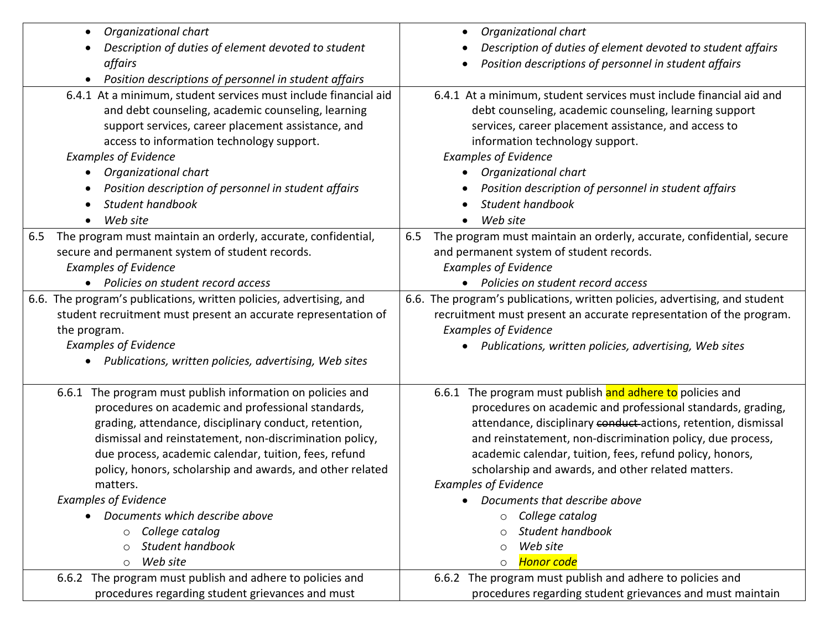| Organizational chart<br>$\bullet$                                                                                                                                                                                                                                                                                                                                                                                                                                                                                  | Organizational chart                                                                                                                                                                                                                                                                                                                                                                                                                                                                                                                               |
|--------------------------------------------------------------------------------------------------------------------------------------------------------------------------------------------------------------------------------------------------------------------------------------------------------------------------------------------------------------------------------------------------------------------------------------------------------------------------------------------------------------------|----------------------------------------------------------------------------------------------------------------------------------------------------------------------------------------------------------------------------------------------------------------------------------------------------------------------------------------------------------------------------------------------------------------------------------------------------------------------------------------------------------------------------------------------------|
| Description of duties of element devoted to student                                                                                                                                                                                                                                                                                                                                                                                                                                                                | Description of duties of element devoted to student affairs                                                                                                                                                                                                                                                                                                                                                                                                                                                                                        |
| affairs                                                                                                                                                                                                                                                                                                                                                                                                                                                                                                            | Position descriptions of personnel in student affairs                                                                                                                                                                                                                                                                                                                                                                                                                                                                                              |
| Position descriptions of personnel in student affairs<br>$\bullet$                                                                                                                                                                                                                                                                                                                                                                                                                                                 |                                                                                                                                                                                                                                                                                                                                                                                                                                                                                                                                                    |
| 6.4.1 At a minimum, student services must include financial aid<br>and debt counseling, academic counseling, learning<br>support services, career placement assistance, and<br>access to information technology support.<br><b>Examples of Evidence</b><br>Organizational chart<br>Position description of personnel in student affairs<br>Student handbook<br>Web site                                                                                                                                            | 6.4.1 At a minimum, student services must include financial aid and<br>debt counseling, academic counseling, learning support<br>services, career placement assistance, and access to<br>information technology support.<br><b>Examples of Evidence</b><br>Organizational chart<br>Position description of personnel in student affairs<br>Student handbook<br>Web site                                                                                                                                                                            |
| The program must maintain an orderly, accurate, confidential,<br>6.5<br>secure and permanent system of student records.<br><b>Examples of Evidence</b><br>• Policies on student record access                                                                                                                                                                                                                                                                                                                      | The program must maintain an orderly, accurate, confidential, secure<br>6.5<br>and permanent system of student records.<br><b>Examples of Evidence</b><br>• Policies on student record access                                                                                                                                                                                                                                                                                                                                                      |
| 6.6. The program's publications, written policies, advertising, and<br>student recruitment must present an accurate representation of<br>the program.<br><b>Examples of Evidence</b><br>• Publications, written policies, advertising, Web sites                                                                                                                                                                                                                                                                   | 6.6. The program's publications, written policies, advertising, and student<br>recruitment must present an accurate representation of the program.<br><b>Examples of Evidence</b><br>Publications, written policies, advertising, Web sites                                                                                                                                                                                                                                                                                                        |
| 6.6.1 The program must publish information on policies and<br>procedures on academic and professional standards,<br>grading, attendance, disciplinary conduct, retention,<br>dismissal and reinstatement, non-discrimination policy,<br>due process, academic calendar, tuition, fees, refund<br>policy, honors, scholarship and awards, and other related<br>matters.<br><b>Examples of Evidence</b><br>Documents which describe above<br>College catalog<br>O<br>Student handbook<br>O<br>Web site<br>$\bigcirc$ | 6.6.1 The program must publish and adhere to policies and<br>procedures on academic and professional standards, grading,<br>attendance, disciplinary conduct-actions, retention, dismissal<br>and reinstatement, non-discrimination policy, due process,<br>academic calendar, tuition, fees, refund policy, honors,<br>scholarship and awards, and other related matters.<br><b>Examples of Evidence</b><br>Documents that describe above<br>College catalog<br>$\circ$<br>Student handbook<br>∩<br>Web site<br>◯<br><b>Honor code</b><br>$\circ$ |
| 6.6.2 The program must publish and adhere to policies and<br>procedures regarding student grievances and must                                                                                                                                                                                                                                                                                                                                                                                                      | 6.6.2 The program must publish and adhere to policies and<br>procedures regarding student grievances and must maintain                                                                                                                                                                                                                                                                                                                                                                                                                             |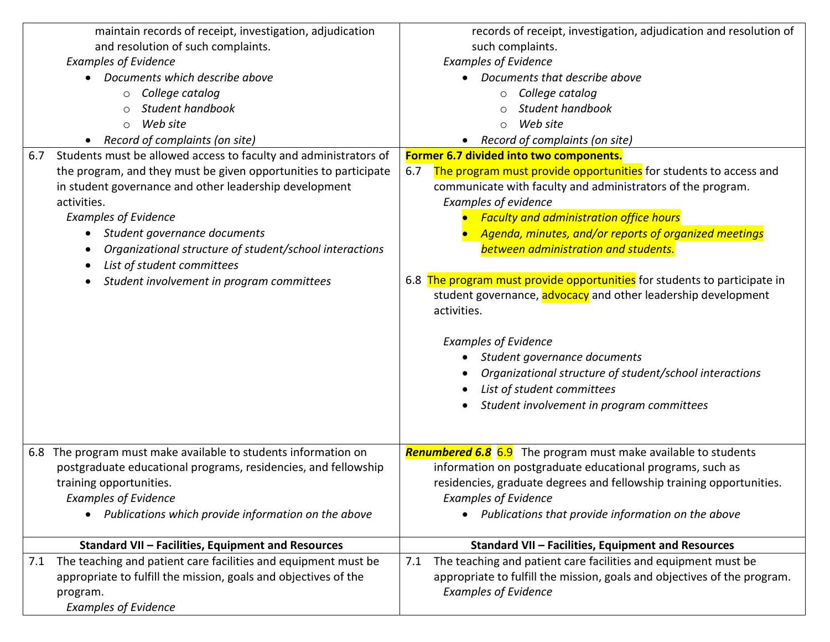| maintain records of receipt, investigation, adjudication                | records of receipt, investigation, adjudication and resolution of         |
|-------------------------------------------------------------------------|---------------------------------------------------------------------------|
| and resolution of such complaints.                                      | such complaints.                                                          |
| <b>Examples of Evidence</b>                                             | <b>Examples of Evidence</b>                                               |
| Documents which describe above                                          | Documents that describe above                                             |
| College catalog<br>$\circ$                                              | College catalog<br>$\circ$                                                |
| Student handbook<br>$\bigcirc$                                          | Student handbook                                                          |
| Web site<br>$\circ$                                                     | Web site<br>$\circ$                                                       |
| Record of complaints (on site)                                          | Record of complaints (on site)                                            |
| Students must be allowed access to faculty and administrators of<br>6.7 | Former 6.7 divided into two components.                                   |
| the program, and they must be given opportunities to participate        | The program must provide opportunities for students to access and<br>6.7  |
| in student governance and other leadership development                  | communicate with faculty and administrators of the program.               |
| activities.                                                             | <b>Examples of evidence</b>                                               |
| <b>Examples of Evidence</b>                                             | <b>Faculty and administration office hours</b>                            |
| Student governance documents<br>$\bullet$                               | Agenda, minutes, and/or reports of organized meetings                     |
| Organizational structure of student/school interactions                 | between administration and students.                                      |
| List of student committees                                              |                                                                           |
| Student involvement in program committees                               | 6.8 The program must provide opportunities for students to participate in |
|                                                                         | student governance, advocacy and other leadership development             |
|                                                                         | activities.                                                               |
|                                                                         |                                                                           |
|                                                                         | <b>Examples of Evidence</b>                                               |
|                                                                         | Student governance documents                                              |
|                                                                         | Organizational structure of student/school interactions                   |
|                                                                         | List of student committees                                                |
|                                                                         | Student involvement in program committees                                 |
|                                                                         |                                                                           |
|                                                                         |                                                                           |
| The program must make available to students information on<br>6.8       | <b>Renumbered 6.8</b> 6.9 The program must make available to students     |
| postgraduate educational programs, residencies, and fellowship          | information on postgraduate educational programs, such as                 |
| training opportunities.                                                 | residencies, graduate degrees and fellowship training opportunities.      |
| <b>Examples of Evidence</b>                                             | <b>Examples of Evidence</b>                                               |
| Publications which provide information on the above                     | Publications that provide information on the above                        |
| Standard VII - Facilities, Equipment and Resources                      | Standard VII - Facilities, Equipment and Resources                        |
| The teaching and patient care facilities and equipment must be<br>7.1   | The teaching and patient care facilities and equipment must be<br>7.1     |
| appropriate to fulfill the mission, goals and objectives of the         | appropriate to fulfill the mission, goals and objectives of the program.  |
| program.                                                                | <b>Examples of Evidence</b>                                               |
| <b>Examples of Evidence</b>                                             |                                                                           |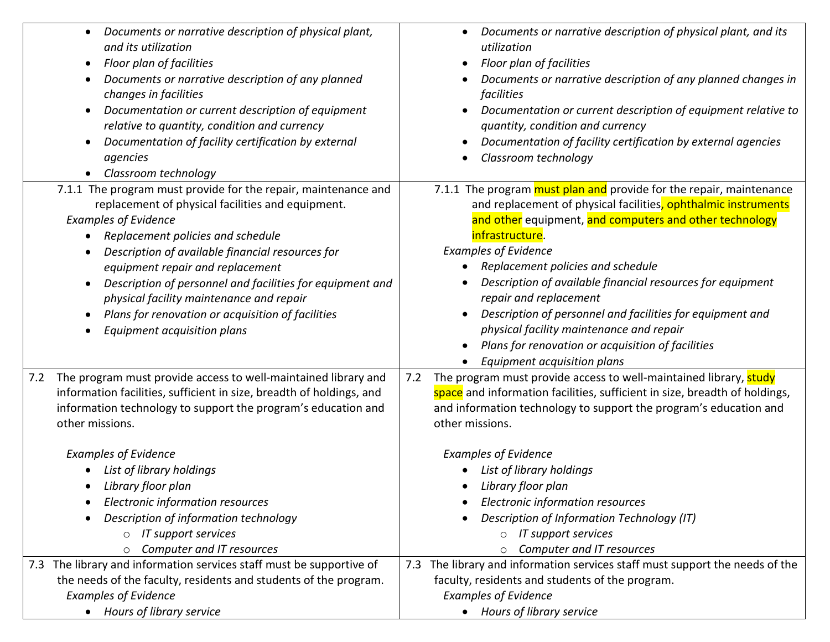|     | Documents or narrative description of physical plant,<br>$\bullet$<br>and its utilization<br>Floor plan of facilities<br>$\bullet$<br>Documents or narrative description of any planned<br>changes in facilities<br>Documentation or current description of equipment<br>$\bullet$<br>relative to quantity, condition and currency<br>Documentation of facility certification by external<br>$\bullet$<br>agencies<br>Classroom technology                                                |     | Documents or narrative description of physical plant, and its<br>utilization<br>Floor plan of facilities<br>Documents or narrative description of any planned changes in<br>facilities<br>Documentation or current description of equipment relative to<br>quantity, condition and currency<br>Documentation of facility certification by external agencies<br>Classroom technology                                                                                                                                                                                          |
|-----|-------------------------------------------------------------------------------------------------------------------------------------------------------------------------------------------------------------------------------------------------------------------------------------------------------------------------------------------------------------------------------------------------------------------------------------------------------------------------------------------|-----|------------------------------------------------------------------------------------------------------------------------------------------------------------------------------------------------------------------------------------------------------------------------------------------------------------------------------------------------------------------------------------------------------------------------------------------------------------------------------------------------------------------------------------------------------------------------------|
|     | 7.1.1 The program must provide for the repair, maintenance and<br>replacement of physical facilities and equipment.<br><b>Examples of Evidence</b><br>Replacement policies and schedule<br>Description of available financial resources for<br>equipment repair and replacement<br>Description of personnel and facilities for equipment and<br>$\bullet$<br>physical facility maintenance and repair<br>Plans for renovation or acquisition of facilities<br>Equipment acquisition plans |     | 7.1.1 The program must plan and provide for the repair, maintenance<br>and replacement of physical facilities, ophthalmic instruments<br>and other equipment, and computers and other technology<br>infrastructure.<br><b>Examples of Evidence</b><br>Replacement policies and schedule<br>Description of available financial resources for equipment<br>repair and replacement<br>Description of personnel and facilities for equipment and<br>physical facility maintenance and repair<br>Plans for renovation or acquisition of facilities<br>Equipment acquisition plans |
| 7.2 | The program must provide access to well-maintained library and<br>information facilities, sufficient in size, breadth of holdings, and<br>information technology to support the program's education and<br>other missions.<br><b>Examples of Evidence</b><br>List of library holdings<br>Library floor plan<br>Electronic information resources<br>Description of information technology<br>IT support services<br>$\circ$<br>Computer and IT resources                                   | 7.2 | The program must provide access to well-maintained library, study<br>space and information facilities, sufficient in size, breadth of holdings,<br>and information technology to support the program's education and<br>other missions.<br><b>Examples of Evidence</b><br>List of library holdings<br>Library floor plan<br>Electronic information resources<br>Description of Information Technology (IT)<br>$\circ$ IT support services<br>Computer and IT resources                                                                                                       |
|     | 7.3 The library and information services staff must be supportive of<br>the needs of the faculty, residents and students of the program.<br><b>Examples of Evidence</b><br>• Hours of library service                                                                                                                                                                                                                                                                                     |     | 7.3 The library and information services staff must support the needs of the<br>faculty, residents and students of the program.<br><b>Examples of Evidence</b><br>• Hours of library service                                                                                                                                                                                                                                                                                                                                                                                 |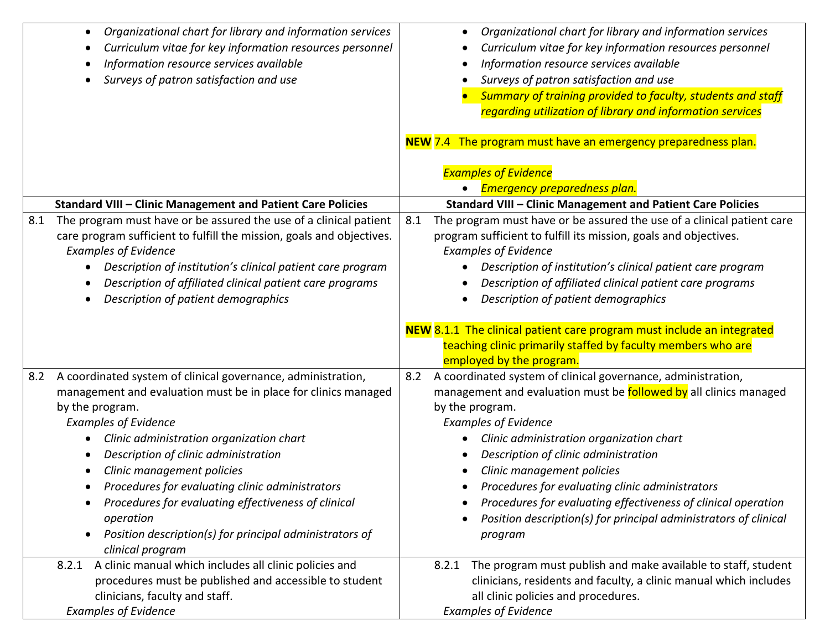| Organizational chart for library and information services<br>$\bullet$<br>Curriculum vitae for key information resources personnel<br>Information resource services available<br>Surveys of patron satisfaction and use                                                                                                                                                                                                                                                                                         | Organizational chart for library and information services<br>Curriculum vitae for key information resources personnel<br>Information resource services available<br>Surveys of patron satisfaction and use<br>Summary of training provided to faculty, students and staff<br>regarding utilization of library and information services<br>NEW 7.4 The program must have an emergency preparedness plan.                                                                                                                |
|-----------------------------------------------------------------------------------------------------------------------------------------------------------------------------------------------------------------------------------------------------------------------------------------------------------------------------------------------------------------------------------------------------------------------------------------------------------------------------------------------------------------|------------------------------------------------------------------------------------------------------------------------------------------------------------------------------------------------------------------------------------------------------------------------------------------------------------------------------------------------------------------------------------------------------------------------------------------------------------------------------------------------------------------------|
|                                                                                                                                                                                                                                                                                                                                                                                                                                                                                                                 | <b>Examples of Evidence</b>                                                                                                                                                                                                                                                                                                                                                                                                                                                                                            |
|                                                                                                                                                                                                                                                                                                                                                                                                                                                                                                                 | Emergency preparedness plan.                                                                                                                                                                                                                                                                                                                                                                                                                                                                                           |
| Standard VIII - Clinic Management and Patient Care Policies                                                                                                                                                                                                                                                                                                                                                                                                                                                     | <b>Standard VIII - Clinic Management and Patient Care Policies</b>                                                                                                                                                                                                                                                                                                                                                                                                                                                     |
| 8.1<br>The program must have or be assured the use of a clinical patient<br>care program sufficient to fulfill the mission, goals and objectives.<br><b>Examples of Evidence</b><br>Description of institution's clinical patient care program<br>Description of affiliated clinical patient care programs<br>Description of patient demographics                                                                                                                                                               | The program must have or be assured the use of a clinical patient care<br>8.1<br>program sufficient to fulfill its mission, goals and objectives.<br><b>Examples of Evidence</b><br>Description of institution's clinical patient care program<br>Description of affiliated clinical patient care programs<br>Description of patient demographics                                                                                                                                                                      |
|                                                                                                                                                                                                                                                                                                                                                                                                                                                                                                                 | NEW 8.1.1 The clinical patient care program must include an integrated<br>teaching clinic primarily staffed by faculty members who are<br>employed by the program.                                                                                                                                                                                                                                                                                                                                                     |
| A coordinated system of clinical governance, administration,<br>8.2<br>management and evaluation must be in place for clinics managed<br>by the program.<br><b>Examples of Evidence</b><br>Clinic administration organization chart<br>Description of clinic administration<br>Clinic management policies<br>Procedures for evaluating clinic administrators<br>Procedures for evaluating effectiveness of clinical<br>operation<br>Position description(s) for principal administrators of<br>clinical program | A coordinated system of clinical governance, administration,<br>8.2<br>management and evaluation must be <b>followed by</b> all clinics managed<br>by the program.<br><b>Examples of Evidence</b><br>Clinic administration organization chart<br>Description of clinic administration<br>Clinic management policies<br>Procedures for evaluating clinic administrators<br>Procedures for evaluating effectiveness of clinical operation<br>Position description(s) for principal administrators of clinical<br>program |
| 8.2.1 A clinic manual which includes all clinic policies and<br>procedures must be published and accessible to student<br>clinicians, faculty and staff.<br><b>Examples of Evidence</b>                                                                                                                                                                                                                                                                                                                         | The program must publish and make available to staff, student<br>8.2.1<br>clinicians, residents and faculty, a clinic manual which includes<br>all clinic policies and procedures.<br><b>Examples of Evidence</b>                                                                                                                                                                                                                                                                                                      |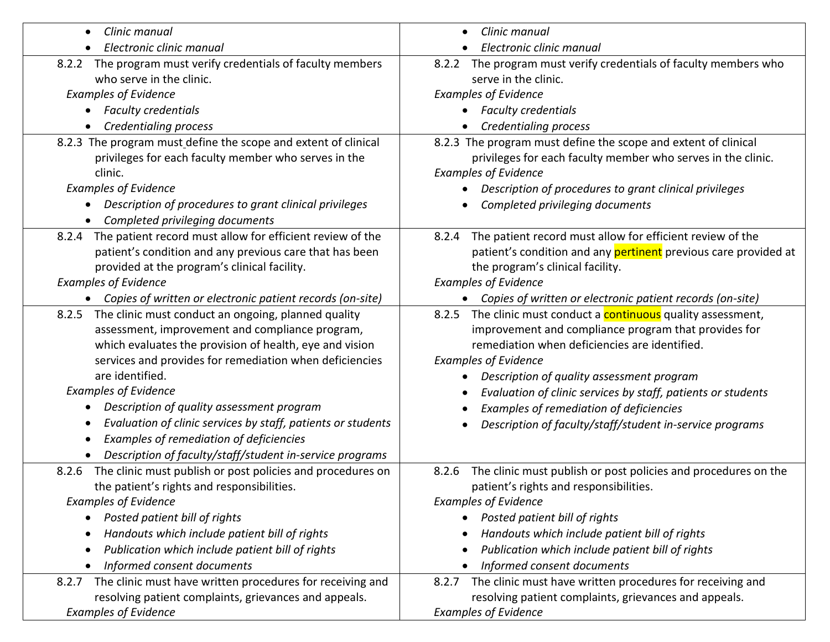| Clinic manual<br>$\bullet$                                                | Clinic manual                                                            |
|---------------------------------------------------------------------------|--------------------------------------------------------------------------|
| Electronic clinic manual<br>$\bullet$                                     | Electronic clinic manual                                                 |
| 8.2.2 The program must verify credentials of faculty members              | 8.2.2 The program must verify credentials of faculty members who         |
| who serve in the clinic.                                                  | serve in the clinic.                                                     |
| <b>Examples of Evidence</b>                                               | <b>Examples of Evidence</b>                                              |
| <b>Faculty credentials</b><br>$\bullet$                                   | <b>Faculty credentials</b>                                               |
| <b>Credentialing process</b>                                              | Credentialing process                                                    |
| 8.2.3 The program must define the scope and extent of clinical            | 8.2.3 The program must define the scope and extent of clinical           |
| privileges for each faculty member who serves in the                      | privileges for each faculty member who serves in the clinic.             |
| clinic.                                                                   | <b>Examples of Evidence</b>                                              |
| <b>Examples of Evidence</b>                                               | Description of procedures to grant clinical privileges                   |
| Description of procedures to grant clinical privileges<br>$\bullet$       | Completed privileging documents                                          |
| Completed privileging documents                                           |                                                                          |
| The patient record must allow for efficient review of the<br>8.2.4        | The patient record must allow for efficient review of the<br>8.2.4       |
| patient's condition and any previous care that has been                   | patient's condition and any pertinent previous care provided at          |
| provided at the program's clinical facility.                              | the program's clinical facility.                                         |
| <b>Examples of Evidence</b>                                               | <b>Examples of Evidence</b>                                              |
| Copies of written or electronic patient records (on-site)<br>$\bullet$    | Copies of written or electronic patient records (on-site)                |
| 8.2.5 The clinic must conduct an ongoing, planned quality                 | The clinic must conduct a <b>continuous</b> quality assessment,<br>8.2.5 |
| assessment, improvement and compliance program,                           | improvement and compliance program that provides for                     |
| which evaluates the provision of health, eye and vision                   | remediation when deficiencies are identified.                            |
| services and provides for remediation when deficiencies                   | <b>Examples of Evidence</b>                                              |
| are identified.                                                           | Description of quality assessment program                                |
| <b>Examples of Evidence</b>                                               | Evaluation of clinic services by staff, patients or students             |
| Description of quality assessment program<br>$\bullet$                    | Examples of remediation of deficiencies                                  |
| Evaluation of clinic services by staff, patients or students<br>$\bullet$ | Description of faculty/staff/student in-service programs                 |
| Examples of remediation of deficiencies<br>$\bullet$                      |                                                                          |
| Description of faculty/staff/student in-service programs                  |                                                                          |
| The clinic must publish or post policies and procedures on<br>8.2.6       | The clinic must publish or post policies and procedures on the<br>8.2.6  |
| the patient's rights and responsibilities.                                | patient's rights and responsibilities.                                   |
| <b>Examples of Evidence</b>                                               | <b>Examples of Evidence</b>                                              |
| Posted patient bill of rights<br>$\bullet$                                | Posted patient bill of rights                                            |
| Handouts which include patient bill of rights<br>$\bullet$                | Handouts which include patient bill of rights                            |
| Publication which include patient bill of rights<br>$\bullet$             | Publication which include patient bill of rights                         |
| Informed consent documents                                                | Informed consent documents                                               |
| The clinic must have written procedures for receiving and<br>8.2.7        | 8.2.7 The clinic must have written procedures for receiving and          |
| resolving patient complaints, grievances and appeals.                     | resolving patient complaints, grievances and appeals.                    |
| <b>Examples of Evidence</b>                                               | <b>Examples of Evidence</b>                                              |